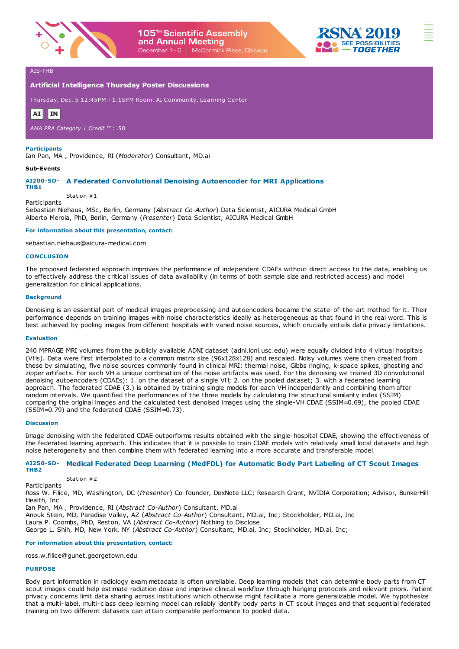



# **Artificial Intelligence Thursday Poster Discussions**

Thursday, Dec. 5 12:45PM - 1:15PM Room: AI Community, Learning Center



*AMA PRA Category 1 Credit* ™: .50

### **Participants**

Ian Pan, MA , Providence, RI (*Moderator*) Consultant, MD.ai

### **Sub-Events**

**Participants** 

# **AI200-SD-A Federated Convolutional Denoising Autoencoder for MRI Applications**

**THB1**

Station #1

Sebastian Niehaus, MSc, Berlin, Germany (*Abstract Co-Author*) Data Scientist, AICURA Medical GmbH Alberto Merola, PhD, Berlin, Germany (*Presenter*) Data Scientist, AICURA Medical GmbH

### **For information about this presentation, contact:**

sebastian.niehaus@aicura-medical.com

### **CONCLUSION**

The proposed federated approach improves the performance of independent CDAEs without direct access to the data, enabling us to effectively address the critical issues of data availability (in terms of both sample size and restricted access) and model generalization for clinical applications.

### **Background**

Denoising is an essential part of medical images preprocessing and autoencoders became the state-of-the-art method for it. Their performance depends on training images with noise characteristics ideally as heterogeneous as that found in the real word. This is best achieved by pooling images from different hospitals with varied noise sources, which crucially entails data privacy limitations.

### **Evaluation**

240 MPRAGE MRI volumes from the publicly available ADNI dataset (adni.loni.usc.edu) were equally divided into 4 virtual hospitals (VHs). Data were first interpolated to a common matrix size (96x128x128) and rescaled. Noisy volumes were then created from these by simulating, five noise sources commonly found in clinical MRI: thermal noise, Gibbs ringing, k-space spikes, ghosting and zipper artifacts. For each VH a unique combination of the noise artifacts was used. For the denoising we trained 3D convolutional denoising autoencoders (CDAEs): 1. on the dataset of a single VH; 2. on the pooled dataset; 3. with a federated learning approach. The federated CDAE (3.) is obtained by training single models for each VH independently and combining them after random intervals. We quantified the performances of the three models by calculating the structural similarity index (SSIM) comparing the original images and the calculated test denoised images using the single-VH CDAE (SSIM=0.69), the pooled CDAE (SSIM=0.79) and the federated CDAE (SSIM=0.73).

### **Discussion**

Image denoising with the federated CDAE outperforms results obtained with the single-hospital CDAE, showing the effectiveness of the federated learning approach. This indicates that it is possible to train CDAE models with relatively small local datasets and high noise heterogeneity and then combine them with federated learning into a more accurate and transferable model.

### **AI250-SD-Medical Federated Deep Learning (MedFDL) for Automatic Body Part Labeling of CT Scout Images THB2**

Station #2 **Participants** 

Ross W. Filice, MD, Washington, DC (*Presenter*) Co-founder, DexNote LLC; Research Grant, NVIDIA Corporation; Advisor, BunkerHill Health, Inc

Ian Pan, MA , Providence, RI (*Abstract Co-Author*) Consultant, MD.ai

Anouk Stein, MD, Paradise Valley, AZ (*Abstract Co-Author*) Consultant, MD.ai, Inc; Stockholder, MD.ai, Inc

Laura P. Coombs, PhD, Reston, VA (*Abstract Co-Author*) Nothing to Disclose

George L. Shih, MD, New York, NY (*Abstract Co-Author*) Consultant, MD.ai, Inc; Stockholder, MD.ai, Inc;

**For information about this presentation, contact:**

ross.w.filice@gunet.georgetown.edu

# **PURPOSE**

Body part information in radiology exam metadata is often unreliable. Deep learning models that can determine body parts from CT scout images could help estimate radiation dose and improve clinical workflow through hanging protocols and relevant priors. Patient privacy concerns limit data sharing across institutions which otherwise might facilitate a more generalizable model. We hypothesize that a multi-label, multi-class deep learning model can reliably identify body parts in CT scout images and that sequential federated training on two different datasets can attain comparable performance to pooled data.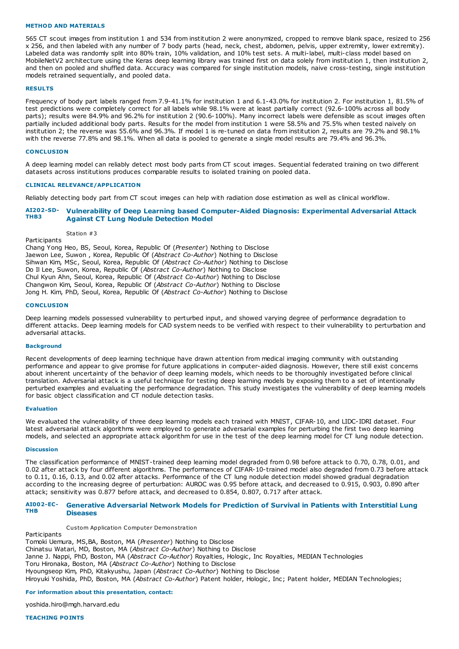### **METHOD AND MATERIALS**

565 CT scout images from institution 1 and 534 from institution 2 were anonymized, cropped to remove blank space, resized to 256 x 256, and then labeled with any number of 7 body parts (head, neck, chest, abdomen, pelvis, upper extremity, lower extremity). Labeled data was randomly split into 80% train, 10% validation, and 10% test sets. A multi-label, multi-class model based on MobileNetV2 architecture using the Keras deep learning library was trained first on data solely from institution 1, then institution 2, and then on pooled and shuffled data. Accuracy was compared for single institution models, naive cross-testing, single institution models retrained sequentially, and pooled data.

### **RESULTS**

Frequency of body part labels ranged from 7.9-41.1% for institution 1 and 6.1-43.0% for institution 2. For institution 1, 81.5% of test predictions were completely correct for all labels while 98.1% were at least partially correct (92.6-100% across all body parts); results were 84.9% and 96.2% for institution 2 (90.6-100%). Many incorrect labels were defensible as scout images often partially included additional body parts. Results for the model from institution 1 were 58.5% and 75.5% when tested naively on institution 2; the reverse was 55.6% and 96.3%. If model 1 is re-tuned on data from institution 2, results are 79.2% and 98.1% with the reverse 77.8% and 98.1%. When all data is pooled to generate a single model results are 79.4% and 96.3%.

### **CONCLUSION**

A deep learning model can reliably detect most body parts from CT scout images. Sequential federated training on two different datasets across institutions produces comparable results to isolated training on pooled data.

### **CLINICAL RELEVANCE/APPLICATION**

Reliably detecting body part from CT scout images can help with radiation dose estimation as well as clinical workflow.

#### **AI202-SD-THB3 Vulnerability of Deep Learning based Computer-Aided Diagnosis: Experimental Adversarial Attack Against CT Lung Nodule Detection Model**

Station #3

Participants Chang Yong Heo, BS, Seoul, Korea, Republic Of (*Presenter*) Nothing to Disclose Jaewon Lee, Suwon , Korea, Republic Of (*Abstract Co-Author*) Nothing to Disclose Sihwan Kim, MSc, Seoul, Korea, Republic Of (*Abstract Co-Author*) Nothing to Disclose Do Il Lee, Suwon, Korea, Republic Of (*Abstract Co-Author*) Nothing to Disclose Chul Kyun Ahn, Seoul, Korea, Republic Of (*Abstract Co-Author*) Nothing to Disclose Changwon Kim, Seoul, Korea, Republic Of (*Abstract Co-Author*) Nothing to Disclose Jong H. Kim, PhD, Seoul, Korea, Republic Of (*Abstract Co-Author*) Nothing to Disclose

### **CONCLUSION**

Deep learning models possessed vulnerability to perturbed input, and showed varying degree of performance degradation to different attacks. Deep learning models for CAD system needs to be verified with respect to their vulnerability to perturbation and adversarial attacks.

### **Background**

Recent developments of deep learning technique have drawn attention from medical imaging community with outstanding performance and appear to give promise for future applications in computer-aided diagnosis. However, there still exist concerns about inherent uncertainty of the behavior of deep learning models, which needs to be thoroughly investigated before clinical translation. Adversarial attack is a useful technique for testing deep learning models by exposing them to a set of intentionally perturbed examples and evaluating the performance degradation. This study investigates the vulnerability of deep learning models for basic object classification and CT nodule detection tasks.

### **Evaluation**

We evaluated the vulnerability of three deep learning models each trained with MNIST, CIFAR-10, and LIDC-IDRI dataset. Four latest adversarial attack algorithms were employed to generate adversarial examples for perturbing the first two deep learning models, and selected an appropriate attack algorithm for use in the test of the deep learning model for CT lung nodule detection.

### **Discussion**

The classification performance of MNIST-trained deep learning model degraded from 0.98 before attack to 0.70, 0.78, 0.01, and 0.02 after attack by four different algorithms. The performances of CIFAR-10-trained model also degraded from 0.73 before attack to 0.11, 0.16, 0.13, and 0.02 after attacks. Performance of the CT lung nodule detection model showed gradual degradation according to the increasing degree of perturbation: AUROC was 0.95 before attack, and decreased to 0.915, 0.903, 0.890 after attack; sensitivity was 0.877 before attack, and decreased to 0.854, 0.807, 0.717 after attack.

### **AI002-EC-THB Generative Adversarial Network Models for Prediction of Survival in Patients with Interstitial Lung Diseases**

Custom Application Computer Demonstration

Participants Tomoki Uemura, MS,BA, Boston, MA (*Presenter*) Nothing to Disclose Chinatsu Watari, MD, Boston, MA (*Abstract Co-Author*) Nothing to Disclose Janne J. Nappi, PhD, Boston, MA (*Abstract Co-Author*) Royalties, Hologic, Inc Royalties, MEDIAN Technologies Toru Hironaka, Boston, MA (*Abstract Co-Author*) Nothing to Disclose Hyoungseop Kim, PhD, Kitakyushu, Japan (*Abstract Co-Author*) Nothing to Disclose Hiroyuki Yoshida, PhD, Boston, MA (*Abstract Co-Author*) Patent holder, Hologic, Inc; Patent holder, MEDIAN Technologies;

### **For information about this presentation, contact:**

yoshida.hiro@mgh.harvard.edu

**TEACHING POINTS**